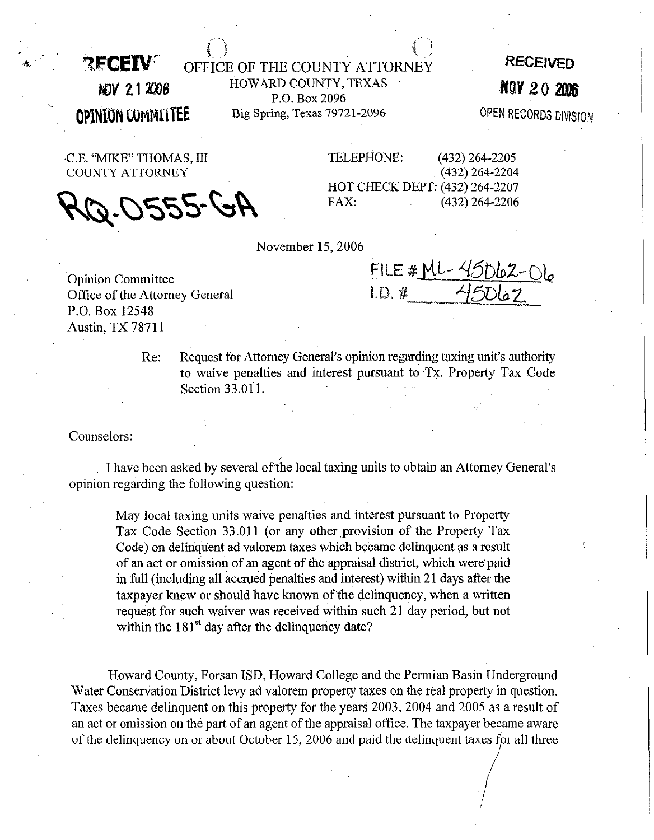**RECEIV** OFFICE OF THE COUNTY ATTORNEY **AOV 21 2006** HOWARD COUNTY, TEXAS P.O. Box 2096 **OPINION COMMITTEE** Big Spring, Texas 79721-2096 **RECEIVED**  NOV 20 2006

**OPEN RECORDS DIVISION** 

COUNTY ATTORNEY **(4321264-2204** 

Ar) 2250.g

C.E. "MIKE" THOMAS, IlI TELEPHONE: **(432)264-2205**  HOT CHECK DEPT: (432) **264-2207 (439264-2206** 

November 15,2006

Opinion Committee Office of the Attorney General P.O. Box 12548 Austin, TX 78711

FILE # ML-45062-06

Re: Request for Attorney General's opinion regarding taxing unit's authority to waive penalties and interest pursuant to Tx. Property Tax Code Section 33.011.

Counselors:

I have been asked by several of the local taxing units to obtain an Attorney General's opinion regarding the following question:

May local taxing units waive penalties and interest pursuant to Property Tax Code Section 33.011 (or any other provision of the Property Tax Code) on delinquent ad valorem taxes which became delinquent as a result of an act or omission of an agent of the appraisal district, which were paid in full (including all accrued penalties and interest) within 21 days after the taxpayer knew or should have known of the delinquency, when a written request for such waiver was received within such 21 day period, but not within the  $181<sup>st</sup>$  day after the delinquency date?

Howard County, Forsan ISD, Howard College and the Permian Basin Underground Water Conservation District levy ad valorem property taxes on the real property in question. Taxes became delinquent on this property for the years 2003, 2004 and 2005 as a result of an act or omission on the part of an agent of the appraisal office. The taxpayer became aware of the delinquency on or about October 15, 2006 and paid the delinquent taxes for all three